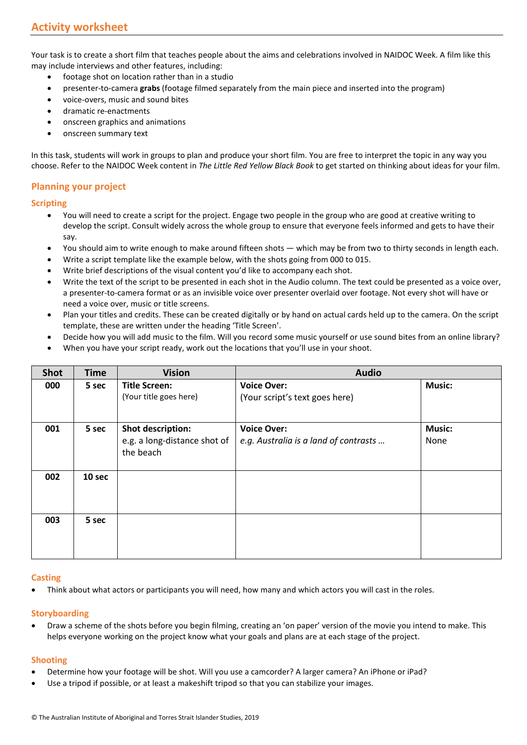Your task is to create a short film that teaches people about the aims and celebrations involved in NAIDOC Week. A film like this may include interviews and other features, including:

- footage shot on location rather than in a studio
- presenter-to-camera **grabs** (footage filmed separately from the main piece and inserted into the program)
- voice-overs, music and sound bites
- dramatic re-enactments
- onscreen graphics and animations
- onscreen summary text

In this task, students will work in groups to plan and produce your short film. You are free to interpret the topic in any way you choose. Refer to the NAIDOC Week content in *The Little Red Yellow Black Book* to get started on thinking about ideas for your film.

# **Planning your project**

## **Scripting**

- You will need to create a script for the project. Engage two people in the group who are good at creative writing to develop the script. Consult widely across the whole group to ensure that everyone feels informed and gets to have their say.
- You should aim to write enough to make around fifteen shots which may be from two to thirty seconds in length each.
- Write a script template like the example below, with the shots going from 000 to 015.
- Write brief descriptions of the visual content you'd like to accompany each shot.
- Write the text of the script to be presented in each shot in the Audio column. The text could be presented as a voice over, a presenter-to-camera format or as an invisible voice over presenter overlaid over footage. Not every shot will have or need a voice over, music or title screens.
- Plan your titles and credits. These can be created digitally or by hand on actual cards held up to the camera. On the script template, these are written under the heading 'Title Screen'.
- Decide how you will add music to the film. Will you record some music yourself or use sound bites from an online library?
- When you have your script ready, work out the locations that you'll use in your shoot.

| <b>Shot</b> | <b>Time</b> | <b>Vision</b>                                                  | <b>Audio</b>                                                |                       |
|-------------|-------------|----------------------------------------------------------------|-------------------------------------------------------------|-----------------------|
| 000         | 5 sec       | Title Screen:<br>(Your title goes here)                        | <b>Voice Over:</b><br>(Your script's text goes here)        | <b>Music:</b>         |
| 001         | 5 sec       | Shot description:<br>e.g. a long-distance shot of<br>the beach | <b>Voice Over:</b><br>e.g. Australia is a land of contrasts | <b>Music:</b><br>None |
| 002         | 10 sec      |                                                                |                                                             |                       |
| 003         | 5 sec       |                                                                |                                                             |                       |

#### **Casting**

• Think about what actors or participants you will need, how many and which actors you will cast in the roles.

# **Storyboarding**

• Draw a scheme of the shots before you begin filming, creating an 'on paper' version of the movie you intend to make. This helps everyone working on the project know what your goals and plans are at each stage of the project.

# **Shooting**

- Determine how your footage will be shot. Will you use a camcorder? A larger camera? An iPhone or iPad?
- Use a tripod if possible, or at least a makeshift tripod so that you can stabilize your images.